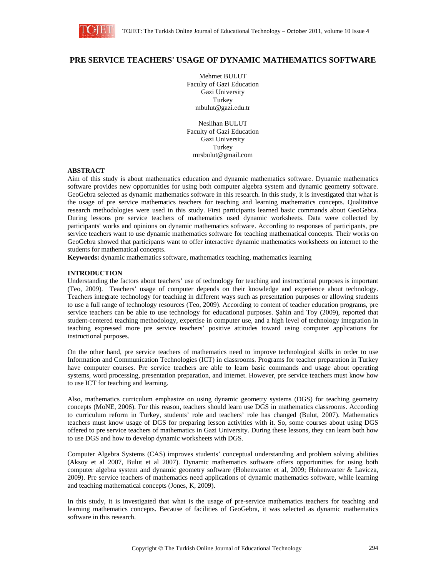

# **PRE SERVICE TEACHERS' USAGE OF DYNAMIC MATHEMATICS SOFTWARE**

Mehmet BULUT Faculty of Gazi Education Gazi University Turkey mbulut@gazi.edu.tr

Neslihan BULUT Faculty of Gazi Education Gazi University Turkey mrsbulut@gmail.com

#### **ABSTRACT**

Aim of this study is about mathematics education and dynamic mathematics software. Dynamic mathematics software provides new opportunities for using both computer algebra system and dynamic geometry software. GeoGebra selected as dynamic mathematics software in this research. In this study, it is investigated that what is the usage of pre service mathematics teachers for teaching and learning mathematics concepts. Qualitative research methodologies were used in this study. First participants learned basic commands about GeoGebra. During lessons pre service teachers of mathematics used dynamic worksheets. Data were collected by participants' works and opinions on dynamic mathematics software. According to responses of participants, pre service teachers want to use dynamic mathematics software for teaching mathematical concepts. Their works on GeoGebra showed that participants want to offer interactive dynamic mathematics worksheets on internet to the students for mathematical concepts.

**Keywords:** dynamic mathematics software, mathematics teaching, mathematics learning

# **INTRODUCTION**

Understanding the factors about teachers' use of technology for teaching and instructional purposes is important (Teo, 2009). Teachers' usage of computer depends on their knowledge and experience about technology. Teachers integrate technology for teaching in different ways such as presentation purposes or allowing students to use a full range of technology resources (Teo, 2009). According to content of teacher education programs, pre service teachers can be able to use technology for educational purposes. Sahin and Toy (2009), reported that student-centered teaching methodology, expertise in computer use, and a high level of technology integration in teaching expressed more pre service teachers' positive attitudes toward using computer applications for instructional purposes.

On the other hand, pre service teachers of mathematics need to improve technological skills in order to use Information and Communication Technologies (ICT) in classrooms. Programs for teacher preparation in Turkey have computer courses. Pre service teachers are able to learn basic commands and usage about operating systems, word processing, presentation preparation, and internet. However, pre service teachers must know how to use ICT for teaching and learning.

Also, mathematics curriculum emphasize on using dynamic geometry systems (DGS) for teaching geometry concepts (MoNE, 2006). For this reason, teachers should learn use DGS in mathematics classrooms. According to curriculum reform in Turkey, students' role and teachers' role has changed (Bulut, 2007). Mathematics teachers must know usage of DGS for preparing lesson activities with it. So, some courses about using DGS offered to pre service teachers of mathematics in Gazi University. During these lessons, they can learn both how to use DGS and how to develop dynamic worksheets with DGS.

Computer Algebra Systems (CAS) improves students' conceptual understanding and problem solving abilities (Aksoy et al 2007, Bulut et al 2007). Dynamic mathematics software offers opportunities for using both computer algebra system and dynamic geometry software (Hohenwarter et al, 2009; Hohenwarter & Lavicza, 2009). Pre service teachers of mathematics need applications of dynamic mathematics software, while learning and teaching mathematical concepts (Jones, K, 2009).

In this study, it is investigated that what is the usage of pre-service mathematics teachers for teaching and learning mathematics concepts. Because of facilities of GeoGebra, it was selected as dynamic mathematics software in this research.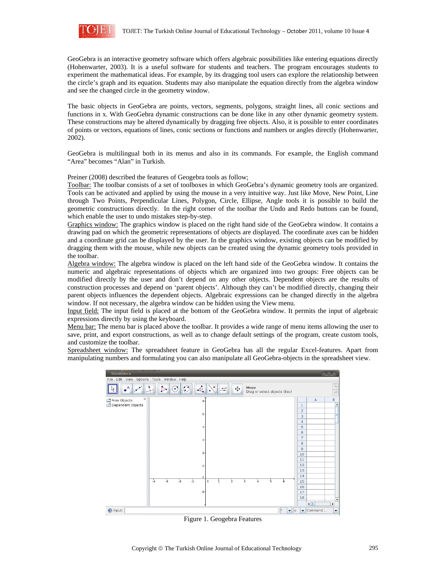

GeoGebra is an interactive geometry software which offers algebraic possibilities like entering equations directly (Hohenwarter, 2003). It is a useful software for students and teachers. The program encourages students to experiment the mathematical ideas. For example, by its dragging tool users can explore the relationship between the circle's graph and its equation. Students may also manipulate the equation directly from the algebra window and see the changed circle in the geometry window.

The basic objects in GeoGebra are points, vectors, segments, polygons, straight lines, all conic sections and functions in x. With GeoGebra dynamic constructions can be done like in any other dynamic geometry system. These constructions may be altered dynamically by dragging free objects. Also, it is possible to enter coordinates of points or vectors, equations of lines, conic sections or functions and numbers or angles directly (Hohenwarter, 2002).

GeoGebra is multilingual both in its menus and also in its commands. For example, the English command "Area" becomes "Alan" in Turkish.

Preiner (2008) described the features of Geogebra tools as follow;

Toolbar: The toolbar consists of a set of toolboxes in which GeoGebra's dynamic geometry tools are organized. Tools can be activated and applied by using the mouse in a very intuitive way. Just like Move, New Point, Line through Two Points, Perpendicular Lines, Polygon, Circle, Ellipse, Angle tools it is possible to build the geometric constructions directly. In the right corner of the toolbar the Undo and Redo buttons can be found, which enable the user to undo mistakes step-by-step.

Graphics window: The graphics window is placed on the right hand side of the GeoGebra window. It contains a drawing pad on which the geometric representations of objects are displayed. The coordinate axes can be hidden and a coordinate grid can be displayed by the user. In the graphics window, existing objects can be modified by dragging them with the mouse, while new objects can be created using the dynamic geometry tools provided in the toolbar.

Algebra window: The algebra window is placed on the left hand side of the GeoGebra window. It contains the numeric and algebraic representations of objects which are organized into two groups: Free objects can be modified directly by the user and don't depend on any other objects. Dependent objects are the results of construction processes and depend on 'parent objects'. Although they can't be modified directly, changing their parent objects influences the dependent objects. Algebraic expressions can be changed directly in the algebra window. If not necessary, the algebra window can be hidden using the View menu.

Input field: The input field is placed at the bottom of the GeoGebra window. It permits the input of algebraic expressions directly by using the keyboard.

Menu bar: The menu bar is placed above the toolbar. It provides a wide range of menu items allowing the user to save, print, and export constructions, as well as to change default settings of the program, create custom tools, and customize the toolbar.

Spreadsheet window: The spreadsheet feature in GeoGebra has all the regular Excel-features. Apart from manipulating numbers and formulating you can also manipulate all GeoGebra-objects in the spreadsheet view.



Figure 1. Geogebra Features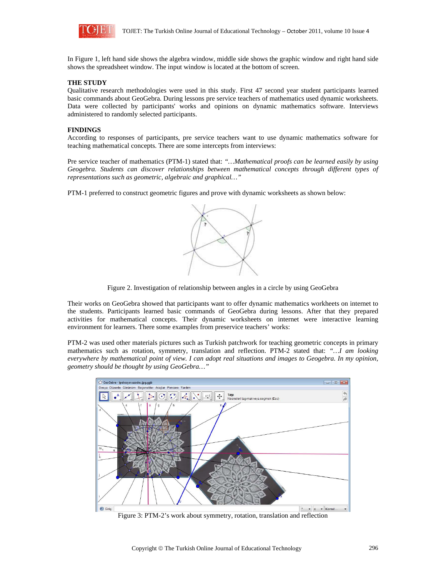

In Figure 1, left hand side shows the algebra window, middle side shows the graphic window and right hand side shows the spreadsheet window. The input window is located at the bottom of screen.

#### **THE STUDY**

Qualitative research methodologies were used in this study. First 47 second year student participants learned basic commands about GeoGebra. During lessons pre service teachers of mathematics used dynamic worksheets. Data were collected by participants' works and opinions on dynamic mathematics software. Interviews administered to randomly selected participants.

### **FINDINGS**

According to responses of participants, pre service teachers want to use dynamic mathematics software for teaching mathematical concepts. There are some intercepts from interviews:

Pre service teacher of mathematics (PTM-1) stated that: *"…Mathematical proofs can be learned easily by using Geogebra. Students can discover relationships between mathematical concepts through different types of representations such as geometric, algebraic and graphical…"* 

PTM-1 preferred to construct geometric figures and prove with dynamic worksheets as shown below:



Figure 2. Investigation of relationship between angles in a circle by using GeoGebra

Their works on GeoGebra showed that participants want to offer dynamic mathematics workheets on internet to the students. Participants learned basic commands of GeoGebra during lessons. After that they prepared activities for mathematical concepts. Their dynamic worksheets on internet were interactive learning environment for learners. There some examples from preservice teachers' works:

PTM-2 was used other materials pictures such as Turkish patchwork for teaching geometric concepts in primary mathematics such as rotation, symmetry, translation and reflection. PTM-2 stated that: *"…I am looking everywhere by mathematical point of view. I can adopt real situations and images to Geogebra. In my opinion, geometry should be thought by using GeoGebra…"* 



Figure 3: PTM-2's work about symmetry, rotation, translation and reflection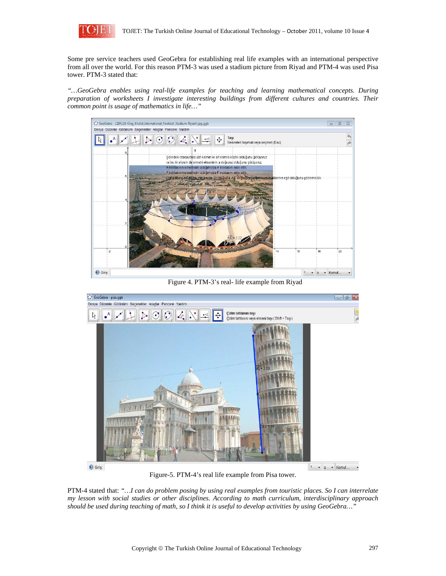

Some pre service teachers used GeoGebra for establishing real life examples with an international perspective from all over the world. For this reason PTM-3 was used a stadium picture from Riyad and PTM-4 was used Pisa tower. PTM-3 stated that:

*"…GeoGebra enables using real-life examples for teaching and learning mathematical concepts. During preparation of worksheets I investigate interesting buildings from different cultures and countries. Their common point is usage of mathematics in life…"* 



Figure 4. PTM-3's real- life example from Riyad



Figure-5. PTM-4's real life example from Pisa tower.

PTM-4 stated that: *"…I can do problem posing by using real examples from touristic places. So I can interrelate my lesson with social studies or other disciplines. According to math curriculum, interdisciplinary approach should be used during teaching of math, so I think it is useful to develop activities by using GeoGebra…"*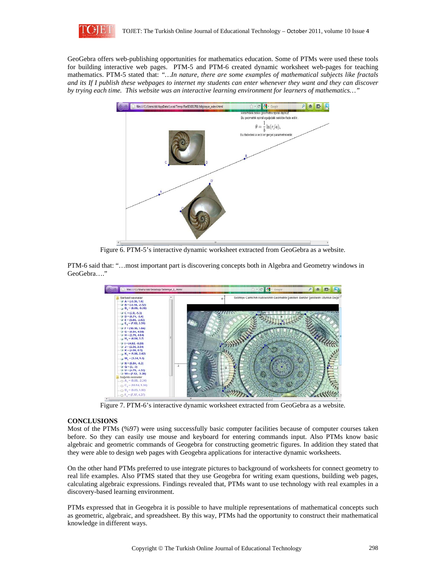

GeoGebra offers web-publishing opportunities for mathematics education. Some of PTMs were used these tools for building interactive web pages. PTM-5 and PTM-6 created dynamic worksheet web-pages for teaching mathematics. PTM-5 stated that: *"…In nature, there are some examples of mathematical subjects like fractals and its If I publish these webpages to internet my students can enter whenever they want and they can discover by trying each time. This website was an interactive learning environment for learners of mathematics…"* 



Figure 6. PTM-5's interactive dynamic worksheet extracted from GeoGebra as a website.

PTM-6 said that: "…most important part is discovering concepts both in Algebra and Geometry windows in GeoGebra…."



Figure 7. PTM-6's interactive dynamic worksheet extracted from GeoGebra as a website.

## **CONCLUSIONS**

Most of the PTMs (%97) were using successfully basic computer facilities because of computer courses taken before. So they can easily use mouse and keyboard for entering commands input. Also PTMs know basic algebraic and geometric commands of Geogebra for constructing geometric figures. In addition they stated that they were able to design web pages with Geogebra applications for interactive dynamic worksheets.

On the other hand PTMs preferred to use integrate pictures to background of worksheets for connect geometry to real life examples. Also PTMS stated that they use Geogebra for writing exam questions, building web pages, calculating algebraic expressions. Findings revealed that, PTMs want to use technology with real examples in a discovery-based learning environment.

PTMs expressed that in Geogebra it is possible to have multiple representations of mathematical concepts such as geometric, algebraic, and spreadsheet. By this way, PTMs had the opportunity to construct their mathematical knowledge in different ways.